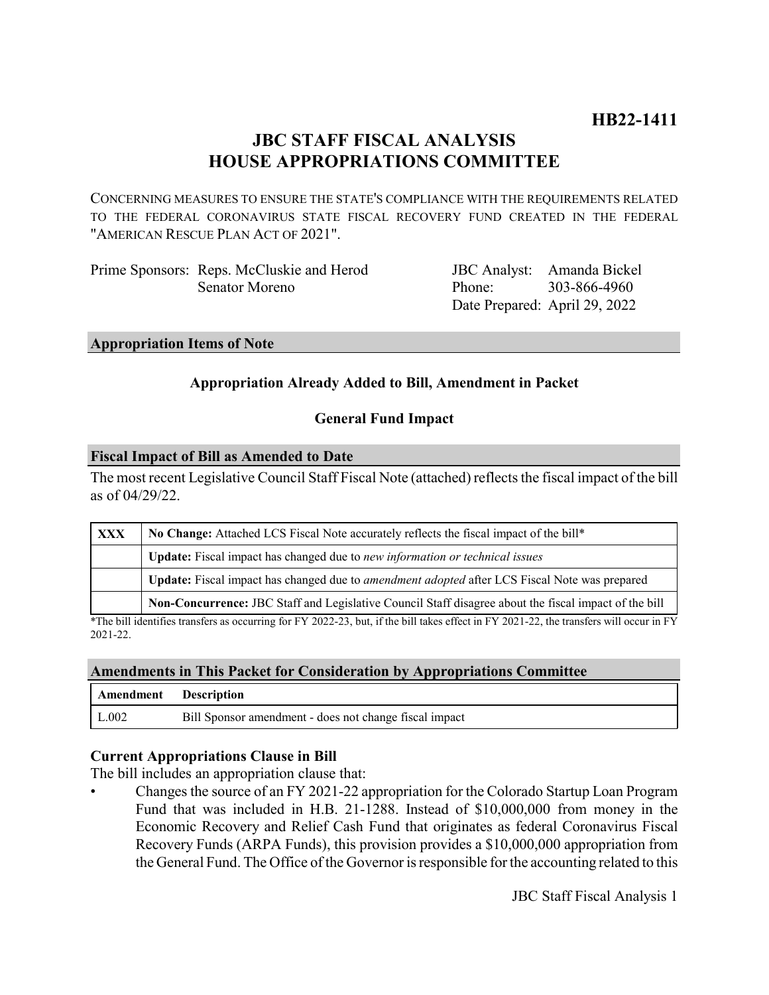# **JBC STAFF FISCAL ANALYSIS HOUSE APPROPRIATIONS COMMITTEE**

CONCERNING MEASURES TO ENSURE THE STATE'S COMPLIANCE WITH THE REQUIREMENTS RELATED TO THE FEDERAL CORONAVIRUS STATE FISCAL RECOVERY FUND CREATED IN THE FEDERAL "AMERICAN RESCUE PLAN ACT OF 2021".

| Prime Sponsors: Reps. McCluskie and Herod |        | JBC Analyst: Amanda Bickel    |
|-------------------------------------------|--------|-------------------------------|
| Senator Moreno                            | Phone: | 303-866-4960                  |
|                                           |        | Date Prepared: April 29, 2022 |

#### **Appropriation Items of Note**

## **Appropriation Already Added to Bill, Amendment in Packet**

## **General Fund Impact**

#### **Fiscal Impact of Bill as Amended to Date**

The most recent Legislative Council Staff Fiscal Note (attached) reflects the fiscal impact of the bill as of 04/29/22.

| <b>XXX</b> | No Change: Attached LCS Fiscal Note accurately reflects the fiscal impact of the bill*                |  |
|------------|-------------------------------------------------------------------------------------------------------|--|
|            | Update: Fiscal impact has changed due to new information or technical issues                          |  |
|            | Update: Fiscal impact has changed due to <i>amendment adopted</i> after LCS Fiscal Note was prepared  |  |
|            | Non-Concurrence: JBC Staff and Legislative Council Staff disagree about the fiscal impact of the bill |  |

\*The bill identifies transfers as occurring for FY 2022-23, but, if the bill takes effect in FY 2021-22, the transfers will occur in FY 2021-22.

#### **Amendments in This Packet for Consideration by Appropriations Committee**

| Amendment Description |                                                        |
|-----------------------|--------------------------------------------------------|
| L.002                 | Bill Sponsor amendment - does not change fiscal impact |

## **Current Appropriations Clause in Bill**

The bill includes an appropriation clause that:

• Changes the source of an FY 2021-22 appropriation for the Colorado Startup Loan Program Fund that was included in H.B. 21-1288. Instead of \$10,000,000 from money in the Economic Recovery and Relief Cash Fund that originates as federal Coronavirus Fiscal Recovery Funds (ARPA Funds), this provision provides a \$10,000,000 appropriation from the General Fund. The Office of the Governor is responsible for the accounting related to this